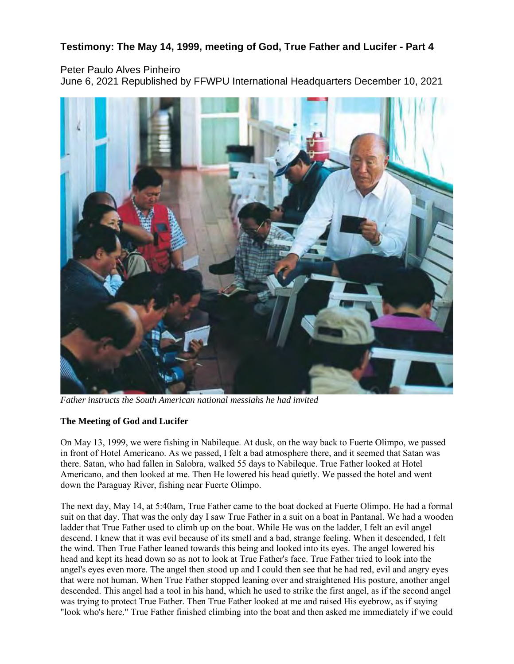# **Testimony: The May 14, 1999, meeting of God, True Father and Lucifer - Part 4**

## Peter Paulo Alves Pinheiro

June 6, 2021 Republished by FFWPU International Headquarters December 10, 2021



*Father instructs the South American national messiahs he had invited*

### **The Meeting of God and Lucifer**

On May 13, 1999, we were fishing in Nabileque. At dusk, on the way back to Fuerte Olimpo, we passed in front of Hotel Americano. As we passed, I felt a bad atmosphere there, and it seemed that Satan was there. Satan, who had fallen in Salobra, walked 55 days to Nabileque. True Father looked at Hotel Americano, and then looked at me. Then He lowered his head quietly. We passed the hotel and went down the Paraguay River, fishing near Fuerte Olimpo.

The next day, May 14, at 5:40am, True Father came to the boat docked at Fuerte Olimpo. He had a formal suit on that day. That was the only day I saw True Father in a suit on a boat in Pantanal. We had a wooden ladder that True Father used to climb up on the boat. While He was on the ladder, I felt an evil angel descend. I knew that it was evil because of its smell and a bad, strange feeling. When it descended, I felt the wind. Then True Father leaned towards this being and looked into its eyes. The angel lowered his head and kept its head down so as not to look at True Father's face. True Father tried to look into the angel's eyes even more. The angel then stood up and I could then see that he had red, evil and angry eyes that were not human. When True Father stopped leaning over and straightened His posture, another angel descended. This angel had a tool in his hand, which he used to strike the first angel, as if the second angel was trying to protect True Father. Then True Father looked at me and raised His eyebrow, as if saying "look who's here." True Father finished climbing into the boat and then asked me immediately if we could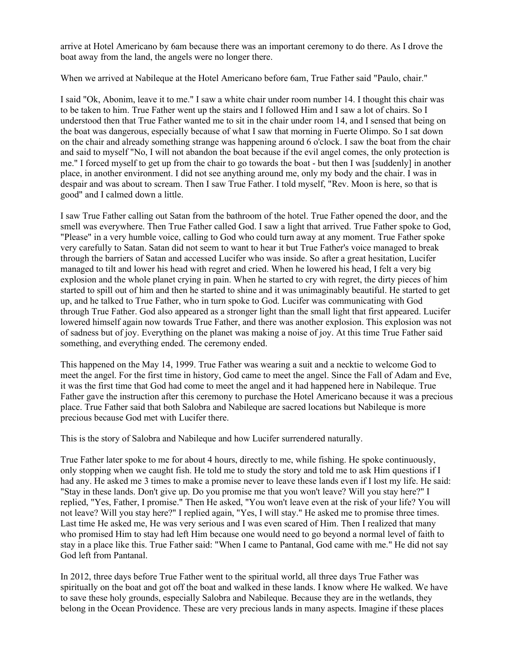arrive at Hotel Americano by 6am because there was an important ceremony to do there. As I drove the boat away from the land, the angels were no longer there.

When we arrived at Nabileque at the Hotel Americano before 6am, True Father said "Paulo, chair."

I said "Ok, Abonim, leave it to me." I saw a white chair under room number 14. I thought this chair was to be taken to him. True Father went up the stairs and I followed Him and I saw a lot of chairs. So I understood then that True Father wanted me to sit in the chair under room 14, and I sensed that being on the boat was dangerous, especially because of what I saw that morning in Fuerte Olimpo. So I sat down on the chair and already something strange was happening around 6 o'clock. I saw the boat from the chair and said to myself "No, I will not abandon the boat because if the evil angel comes, the only protection is me." I forced myself to get up from the chair to go towards the boat - but then I was [suddenly] in another place, in another environment. I did not see anything around me, only my body and the chair. I was in despair and was about to scream. Then I saw True Father. I told myself, "Rev. Moon is here, so that is good" and I calmed down a little.

I saw True Father calling out Satan from the bathroom of the hotel. True Father opened the door, and the smell was everywhere. Then True Father called God. I saw a light that arrived. True Father spoke to God, "Please" in a very humble voice, calling to God who could turn away at any moment. True Father spoke very carefully to Satan. Satan did not seem to want to hear it but True Father's voice managed to break through the barriers of Satan and accessed Lucifer who was inside. So after a great hesitation, Lucifer managed to tilt and lower his head with regret and cried. When he lowered his head, I felt a very big explosion and the whole planet crying in pain. When he started to cry with regret, the dirty pieces of him started to spill out of him and then he started to shine and it was unimaginably beautiful. He started to get up, and he talked to True Father, who in turn spoke to God. Lucifer was communicating with God through True Father. God also appeared as a stronger light than the small light that first appeared. Lucifer lowered himself again now towards True Father, and there was another explosion. This explosion was not of sadness but of joy. Everything on the planet was making a noise of joy. At this time True Father said something, and everything ended. The ceremony ended.

This happened on the May 14, 1999. True Father was wearing a suit and a necktie to welcome God to meet the angel. For the first time in history, God came to meet the angel. Since the Fall of Adam and Eve, it was the first time that God had come to meet the angel and it had happened here in Nabileque. True Father gave the instruction after this ceremony to purchase the Hotel Americano because it was a precious place. True Father said that both Salobra and Nabileque are sacred locations but Nabileque is more precious because God met with Lucifer there.

This is the story of Salobra and Nabileque and how Lucifer surrendered naturally.

True Father later spoke to me for about 4 hours, directly to me, while fishing. He spoke continuously, only stopping when we caught fish. He told me to study the story and told me to ask Him questions if I had any. He asked me 3 times to make a promise never to leave these lands even if I lost my life. He said: "Stay in these lands. Don't give up. Do you promise me that you won't leave? Will you stay here?" I replied, "Yes, Father, I promise." Then He asked, "You won't leave even at the risk of your life? You will not leave? Will you stay here?" I replied again, "Yes, I will stay." He asked me to promise three times. Last time He asked me, He was very serious and I was even scared of Him. Then I realized that many who promised Him to stay had left Him because one would need to go beyond a normal level of faith to stay in a place like this. True Father said: "When I came to Pantanal, God came with me." He did not say God left from Pantanal.

In 2012, three days before True Father went to the spiritual world, all three days True Father was spiritually on the boat and got off the boat and walked in these lands. I know where He walked. We have to save these holy grounds, especially Salobra and Nabileque. Because they are in the wetlands, they belong in the Ocean Providence. These are very precious lands in many aspects. Imagine if these places